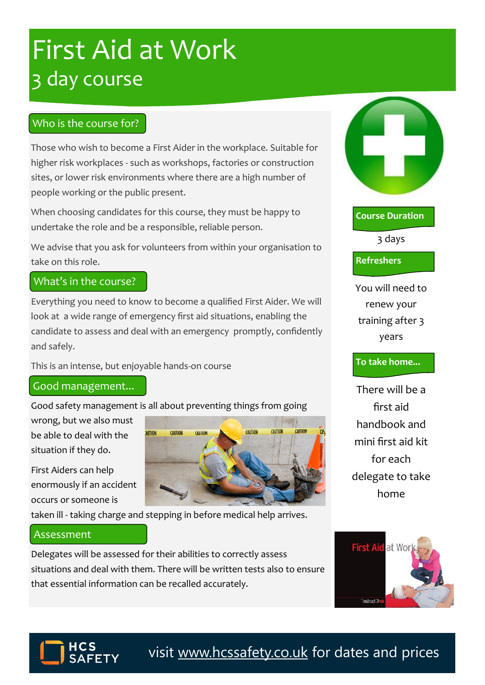# First Aid at Work 3 day course

## Who is the course for?

Those who wish to become a First Aider in the workplace. Suitable for higher risk workplaces - such as workshops, factories or construction sites, or lower risk environments where there are a high number of people working or the public present.

When choosing candidates for this course, they must be happy to undertake the role and be a responsible, reliable person.

We advise that you ask for volunteers from within your organisation to take on this role.

## What's in the course?

Everything you need to know to become a qualified First Aider. We will look at a wide range of emergency first aid situations, enabling the candidate to assess and deal with an emergency promptly, confidently and safely.

This is an intense, but enjoyable hands-on course

### Good management...

Good safety management is all about preventing things from going

**AUTION** 

CAUTION

CAUTIO

wrong, but we also must be able to deal with the situation if they do.

First Aiders can help enormously if an accident occurs or someone is

taken ill - taking charge and stepping in before medical help arrives.

### Assessment

Delegates will be assessed for their abilities to correctly assess situations and deal with them. There will be written tests also to ensure that essential information can be recalled accurately.







visit [www.hcssafety.co.uk](http://www.hcssafety.co.uk/training) for dates and prices

3 days

**Course Duration**

**Refreshers**

You will need to renew your training after 3 years

#### **To take home...**

There will be a first aid handbook and mini first aid kit for each delegate to take home